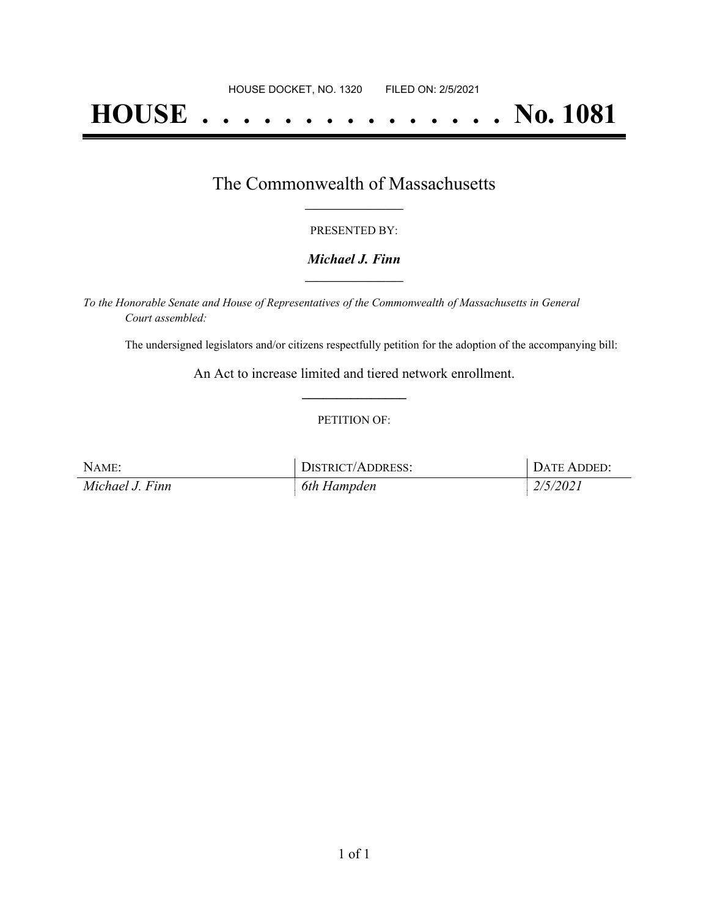# **HOUSE . . . . . . . . . . . . . . . No. 1081**

### The Commonwealth of Massachusetts **\_\_\_\_\_\_\_\_\_\_\_\_\_\_\_\_\_**

#### PRESENTED BY:

#### *Michael J. Finn* **\_\_\_\_\_\_\_\_\_\_\_\_\_\_\_\_\_**

*To the Honorable Senate and House of Representatives of the Commonwealth of Massachusetts in General Court assembled:*

The undersigned legislators and/or citizens respectfully petition for the adoption of the accompanying bill:

An Act to increase limited and tiered network enrollment. **\_\_\_\_\_\_\_\_\_\_\_\_\_\_\_**

#### PETITION OF:

| NAME:           | DISTRICT/ADDRESS: | DATE ADDED: |
|-----------------|-------------------|-------------|
| Michael J. Finn | 6th Hampden       | 2/5/2021    |